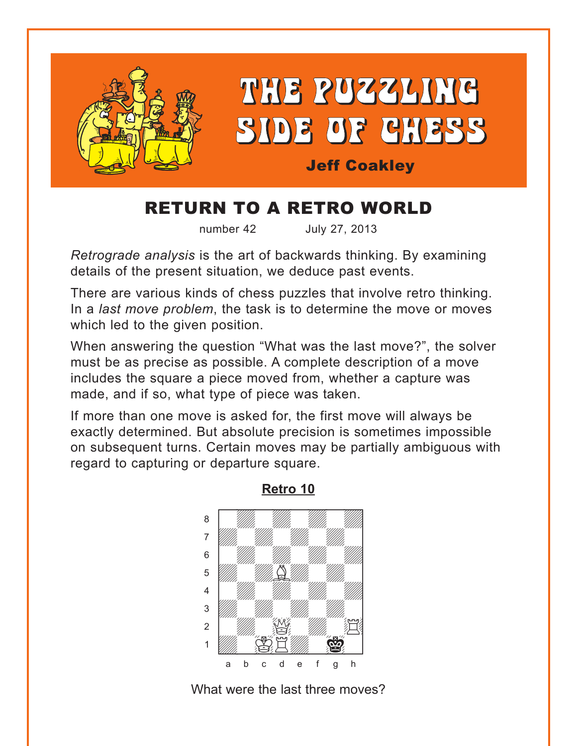<span id="page-0-0"></span>

## RETURN TO A RETRO WORLD

number 42 July 27, 2013

*Retrograde analysis* is the art of backwards thinking. By examining details of the present situation, we deduce past events.

There are various kinds of chess puzzles that involve retro thinking. In a *last move problem*, the task is to determine the move or moves which led to the given position.

When answering the question "What was the last move?", the solver must be as precise as possible. A complete description of a move includes the square a piece moved from, whether a capture was made, and if so, what type of piece was taken.

If more than one move is asked for, the first move will always be exactly determined. But absolute precision is sometimes impossible on subsequent turns. Certain moves may be partially ambiguous with regard to capturing or departure square.



**[Retro 10](#page-5-0)**

What were the last three moves?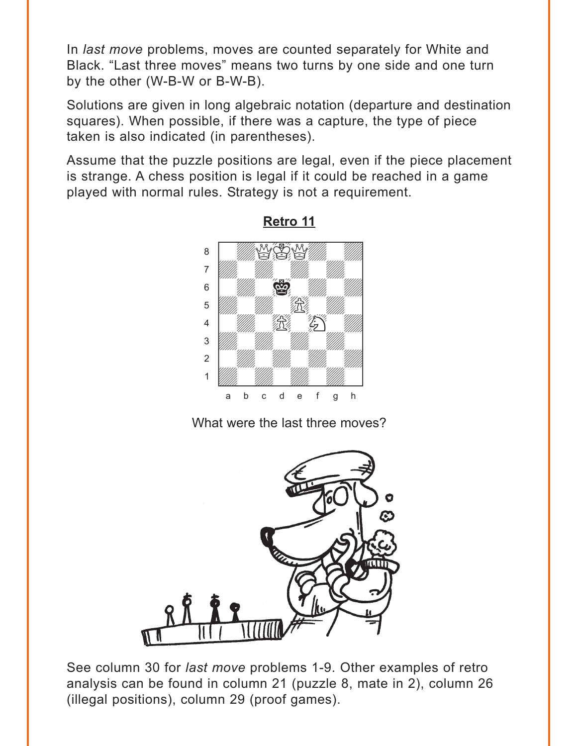<span id="page-1-0"></span>In *last move* problems, moves are counted separately for White and Black. "Last three moves" means two turns by one side and one turn by the other (W-B-W or B-W-B).

Solutions are given in long algebraic notation (departure and destination squares). When possible, if there was a capture, the type of piece taken is also indicated (in parentheses).

Assume that the puzzle positions are legal, even if the piece placement is strange. A chess position is legal if it could be reached in a game played with normal rules. Strategy is not a requirement.



**[Retro 11](#page-6-0)**

What were the last three moves?



See column 30 for *last move* problems 1-9. Other examples of retro analysis can be found in column 21 (puzzle 8, mate in 2), column 26 (illegal positions), column 29 (proof games).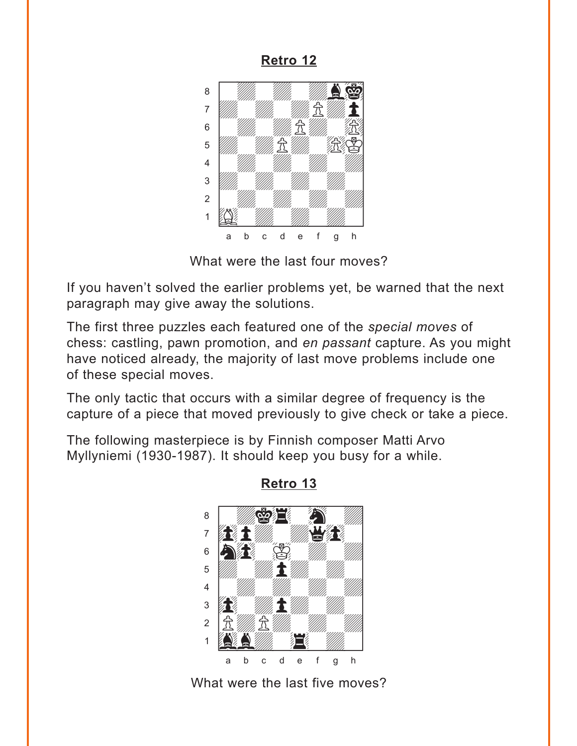<span id="page-2-0"></span>**[Retro 12](#page-7-0)**



What were the last four moves?

If you haven't solved the earlier problems yet, be warned that the next paragraph may give away the solutions.

The first three puzzles each featured one of the *special moves* of chess: castling, pawn promotion, and *en passant* capture. As you might have noticed already, the majority of last move problems include one of these special moves.

The only tactic that occurs with a similar degree of frequency is the capture of a piece that moved previously to give check or take a piece.

The following masterpiece is by Finnish composer Matti Arvo Myllyniemi (1930-1987). It should keep you busy for a while.



**[Retro 13](#page-8-0)**

What were the last five moves?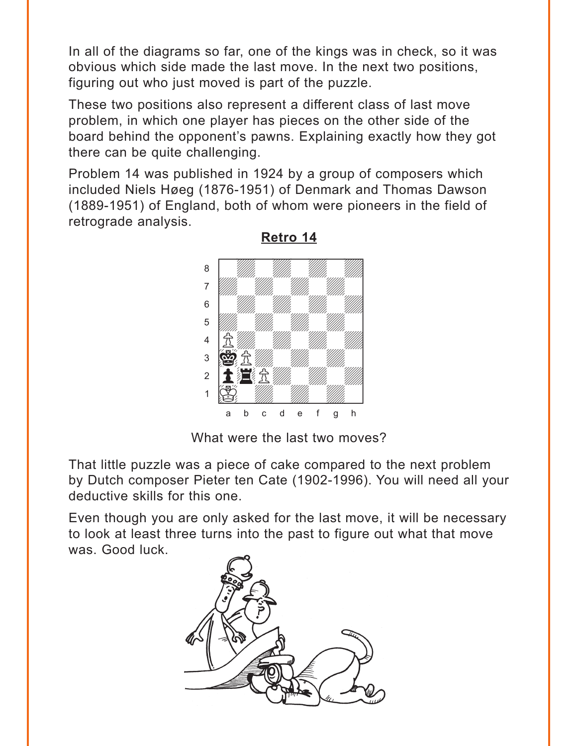<span id="page-3-0"></span>In all of the diagrams so far, one of the kings was in check, so it was obvious which side made the last move. In the next two positions, figuring out who just moved is part of the puzzle.

These two positions also represent a different class of last move problem, in which one player has pieces on the other side of the board behind the opponent's pawns. Explaining exactly how they got there can be quite challenging.

Problem 14 was published in 1924 by a group of composers which included Niels Høeg (1876-1951) of Denmark and Thomas Dawson (1889-1951) of England, both of whom were pioneers in the field of retrograde analysis.



**[Retro 14](#page-9-0)**

What were the last two moves?

That little puzzle was a piece of cake compared to the next problem by Dutch composer Pieter ten Cate (1902-1996). You will need all your deductive skills for this one.

Even though you are only asked for the last move, it will be necessary to look at least three turns into the past to figure out what that move was. Good luck.

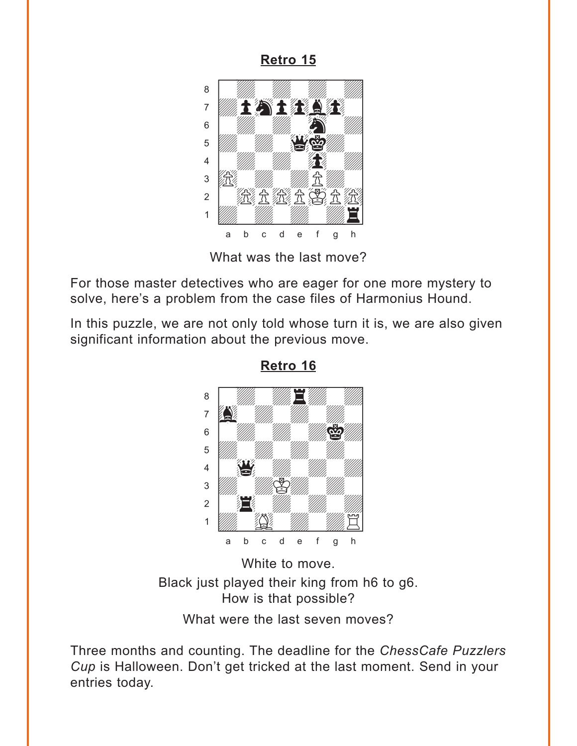<span id="page-4-0"></span>**[Retro 15](#page-10-0)**

![](_page_4_Picture_1.jpeg)

What was the last move?

For those master detectives who are eager for one more mystery to solve, here's a problem from the case files of Harmonius Hound.

In this puzzle, we are not only told whose turn it is, we are also given significant information about the previous move.

![](_page_4_Picture_5.jpeg)

**[Retro 16](#page-12-0)**

White to move. Black just played their king from h6 to g6. How is that possible?

What were the last seven moves?

Three months and counting. The deadline for the *ChessCafe Puzzlers Cup* is Halloween. Don't get tricked at the last moment. Send in your entries today.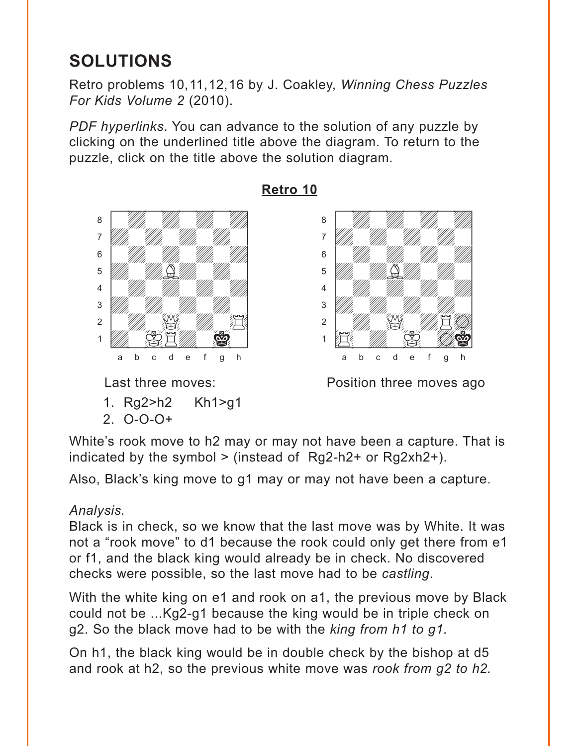# <span id="page-5-0"></span>**SOLUTIONS**

Retro problems 10,11,12,16 by J. Coakley, *Winning Chess Puzzles For Kids Volume 2* (2010).

*PDF hyperlinks*. You can advance to the solution of any puzzle by clicking on the underlined title above the diagram. To return to the puzzle, click on the title above the solution diagram.

![](_page_5_Picture_3.jpeg)

- 1. Rg2>h2 Kh1>g1
- 2. O-O-O+

## **[Retro 10](#page-0-0)**

![](_page_5_Picture_8.jpeg)

Last three moves: **Example 2** Position three moves ago

White's rook move to h2 may or may not have been a capture. That is indicated by the symbol  $>$  (instead of Rg2-h2+ or Rg2xh2+).

Also, Black's king move to g1 may or may not have been a capture.

## *Analysis.*

Black is in check, so we know that the last move was by White. It was not a "rook move" to d1 because the rook could only get there from e1 or f1, and the black king would already be in check. No discovered checks were possible, so the last move had to be *castling*.

With the white king on e1 and rook on a1, the previous move by Black could not be ...Kg2-g1 because the king would be in triple check on g2. So the black move had to be with the *king from h1 to g1.*

On h1, the black king would be in double check by the bishop at d5 and rook at h2, so the previous white move was *rook from g2 to h2.*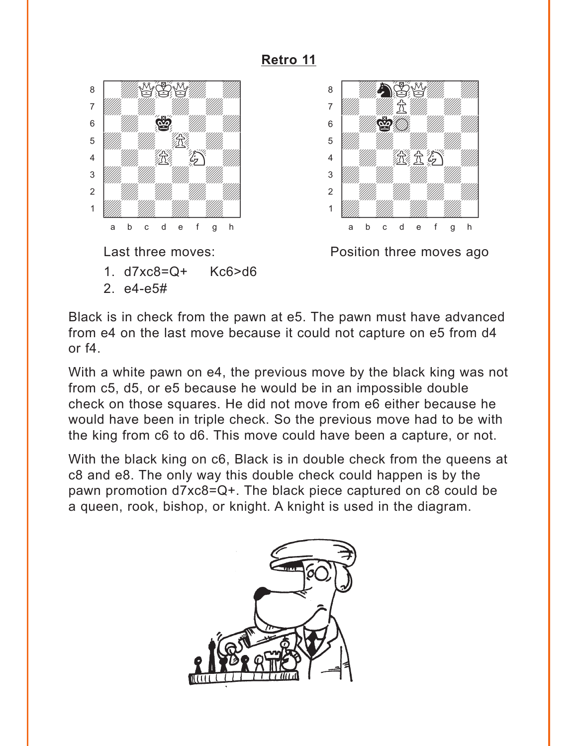#### **[Retro 11](#page-1-0)**

<span id="page-6-0"></span>![](_page_6_Picture_1.jpeg)

- 1. d7xc8=Q+ Kc6>d6
- 2. e4-e5#

![](_page_6_Picture_5.jpeg)

Last three moves: **Example 2** Position three moves ago

Black is in check from the pawn at e5. The pawn must have advanced from e4 on the last move because it could not capture on e5 from d4 or f4.

With a white pawn on e4, the previous move by the black king was not from c5, d5, or e5 because he would be in an impossible double check on those squares. He did not move from e6 either because he would have been in triple check. So the previous move had to be with the king from c6 to d6. This move could have been a capture, or not.

With the black king on c6, Black is in double check from the queens at c8 and e8. The only way this double check could happen is by the pawn promotion d7xc8=Q+. The black piece captured on c8 could be a queen, rook, bishop, or knight. A knight is used in the diagram.

![](_page_6_Picture_10.jpeg)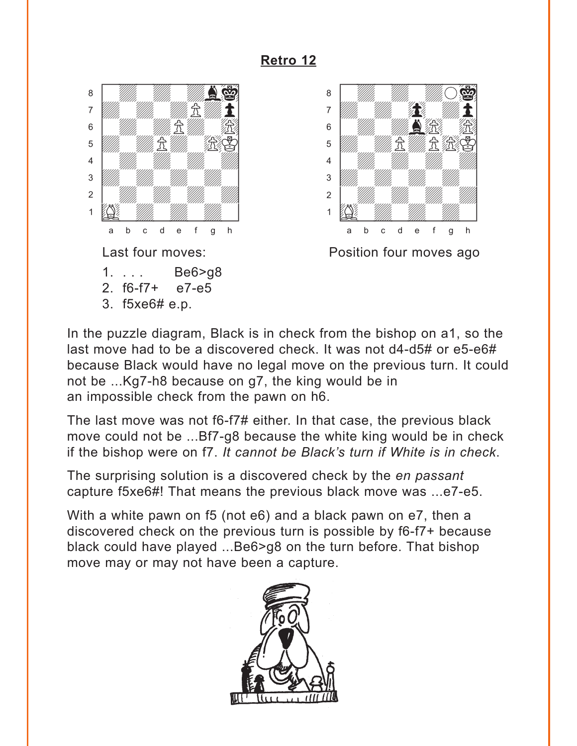## **[Retro 12](#page-2-0)**

<span id="page-7-0"></span>![](_page_7_Picture_1.jpeg)

3. f5xe6# e.p.

![](_page_7_Picture_3.jpeg)

In the puzzle diagram, Black is in check from the bishop on a1, so the last move had to be a discovered check. It was not d4-d5# or e5-e6# because Black would have no legal move on the previous turn. It could not be ...Kg7-h8 because on g7, the king would be in an impossible check from the pawn on h6.

The last move was not f6-f7# either. In that case, the previous black move could not be ...Bf7-g8 because the white king would be in check if the bishop were on f7. *It cannot be Black's turn if White is in check*.

The surprising solution is a discovered check by the *en passant* capture f5xe6#! That means the previous black move was ...e7-e5.

With a white pawn on f5 (not e6) and a black pawn on e7, then a discovered check on the previous turn is possible by f6-f7+ because black could have played ...Be6>g8 on the turn before. That bishop move may or may not have been a capture.

![](_page_7_Picture_9.jpeg)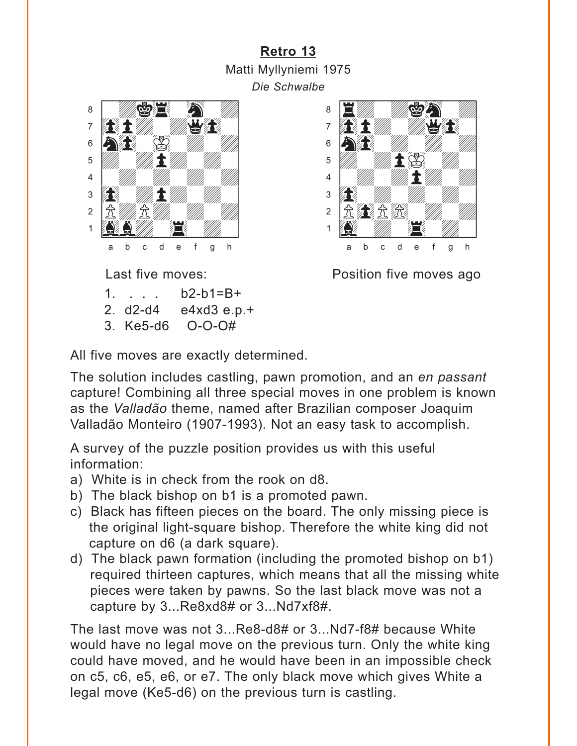## **[Retro 13](#page-2-0)** Matti Myllyniemi 1975 *Die Schwalbe*

<span id="page-8-0"></span>![](_page_8_Picture_1.jpeg)

 $1. \cdot \cdot \cdot 102-b1=B+$ 

2. d2-d4 e4xd3 e.p.+

3. Ke5-d6 O-O-O#

![](_page_8_Picture_6.jpeg)

Last five moves: **Example 2** Position five moves ago

All five moves are exactly determined.

The solution includes castling, pawn promotion, and an *en passant* capture! Combining all three special moves in one problem is known as the *Valladão* theme, named after Brazilian composer Joaquim Valladão Monteiro (1907-1993). Not an easy task to accomplish.

A survey of the puzzle position provides us with this useful information:

- a) White is in check from the rook on d8.
- b) The black bishop on b1 is a promoted pawn.
- c) Black has fifteen pieces on the board. The only missing piece is the original light-square bishop. Therefore the white king did not capture on d6 (a dark square).
- d) The black pawn formation (including the promoted bishop on b1) required thirteen captures, which means that all the missing white pieces were taken by pawns. So the last black move was not a capture by 3...Re8xd8# or 3...Nd7xf8#.

The last move was not 3...Re8-d8# or 3...Nd7-f8# because White would have no legal move on the previous turn. Only the white king could have moved, and he would have been in an impossible check on c5, c6, e5, e6, or e7. The only black move which gives White a legal move (Ke5-d6) on the previous turn is castling.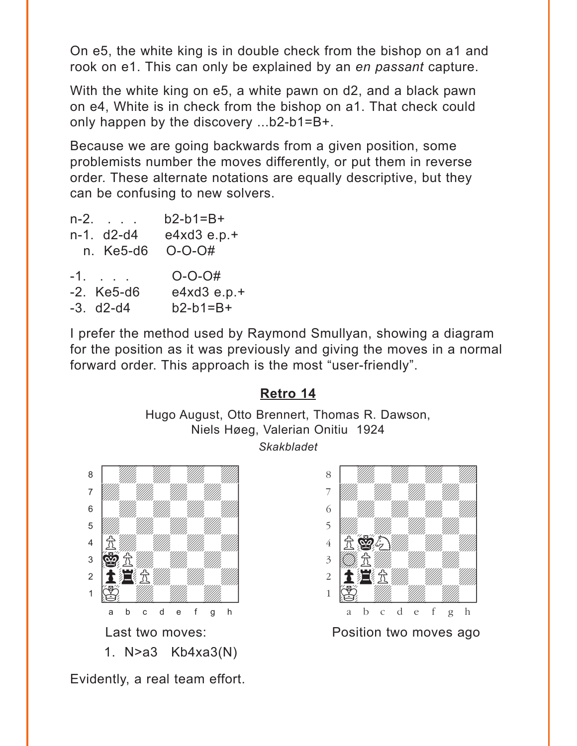<span id="page-9-0"></span>On e5, the white king is in double check from the bishop on a1 and rook on e1. This can only be explained by an *en passant* capture.

With the white king on e5, a white pawn on d2, and a black pawn on e4, White is in check from the bishop on a1. That check could only happen by the discovery ...b2-b1=B+.

Because we are going backwards from a given position, some problemists number the moves differently, or put them in reverse order. These alternate notations are equally descriptive, but they can be confusing to new solvers.

| n-2.         | $b2-b1=B+$     |
|--------------|----------------|
| n-1. d2-d4   | $e4xd3 e.p. +$ |
| n. Ke5-d6    | $O-O-O#$       |
| $-1.$        | $O-O-O#$       |
|              |                |
| $-2.$ Ke5-d6 | $e4xd3e.p.+$   |

I prefer the method used by Raymond Smullyan, showing a diagram for the position as it was previously and giving the moves in a normal forward order. This approach is the most "user-friendly".

## **[Retro 14](#page-3-0)**

Hugo August, Otto Brennert, Thomas R. Dawson, Niels Høeg, Valerian Onitiu 1924 *Skakbladet*

![](_page_9_Picture_7.jpeg)

Evidently, a real team effort.

![](_page_9_Picture_9.jpeg)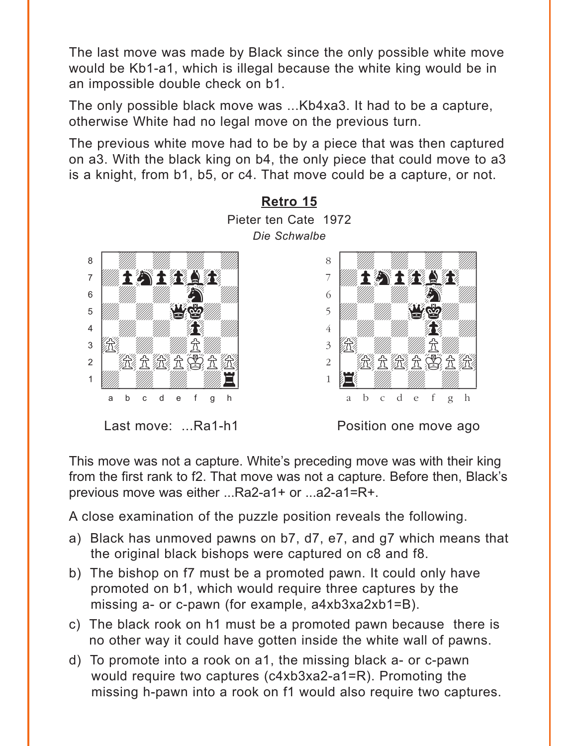<span id="page-10-0"></span>The last move was made by Black since the only possible white move would be Kb1-a1, which is illegal because the white king would be in an impossible double check on b1.

The only possible black move was ...Kb4xa3. It had to be a capture, otherwise White had no legal move on the previous turn.

The previous white move had to be by a piece that was then captured on a3. With the black king on b4, the only piece that could move to a3 is a knight, from b1, b5, or c4. That move could be a capture, or not.

![](_page_10_Figure_3.jpeg)

This move was not a capture. White's preceding move was with their king from the first rank to f2. That move was not a capture. Before then, Black's previous move was either ...Ra2-a1+ or ...a2-a1=R+.

A close examination of the puzzle position reveals the following.

- a) Black has unmoved pawns on b7, d7, e7, and g7 which means that the original black bishops were captured on c8 and f8.
- b) The bishop on f7 must be a promoted pawn. It could only have promoted on b1, which would require three captures by the missing a- or c-pawn (for example, a4xb3xa2xb1=B).
- c) The black rook on h1 must be a promoted pawn because there is no other way it could have gotten inside the white wall of pawns.
- d) To promote into a rook on a1, the missing black a- or c-pawn would require two captures (c4xb3xa2-a1=R). Promoting the missing h-pawn into a rook on f1 would also require two captures.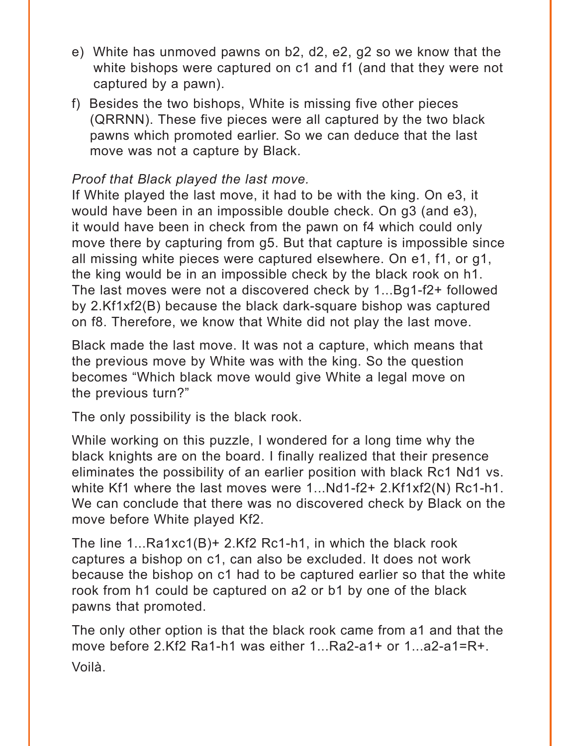- e) White has unmoved pawns on b2, d2, e2, g2 so we know that the white bishops were captured on c1 and f1 (and that they were not captured by a pawn).
- f) Besides the two bishops, White is missing five other pieces (QRRNN). These five pieces were all captured by the two black pawns which promoted earlier. So we can deduce that the last move was not a capture by Black.

#### *Proof that Black played the last move.*

If White played the last move, it had to be with the king. On e3, it would have been in an impossible double check. On g3 (and e3), it would have been in check from the pawn on f4 which could only move there by capturing from g5. But that capture is impossible since all missing white pieces were captured elsewhere. On e1, f1, or g1, the king would be in an impossible check by the black rook on h1. The last moves were not a discovered check by 1...Bg1-f2+ followed by 2.Kf1xf2(B) because the black dark-square bishop was captured on f8. Therefore, we know that White did not play the last move.

Black made the last move. It was not a capture, which means that the previous move by White was with the king. So the question becomes "Which black move would give White a legal move on the previous turn?"

The only possibility is the black rook.

While working on this puzzle, I wondered for a long time why the black knights are on the board. I finally realized that their presence eliminates the possibility of an earlier position with black Rc1 Nd1 vs. white Kf1 where the last moves were 1...Nd1-f2+ 2.Kf1xf2(N) Rc1-h1. We can conclude that there was no discovered check by Black on the move before White played Kf2.

The line 1...Ra1xc1(B)+ 2.Kf2 Rc1-h1, in which the black rook captures a bishop on c1, can also be excluded. It does not work because the bishop on c1 had to be captured earlier so that the white rook from h1 could be captured on a2 or b1 by one of the black pawns that promoted.

The only other option is that the black rook came from a1 and that the move before 2.Kf2 Ra1-h1 was either 1...Ra2-a1+ or 1...a2-a1=R+. Voilà.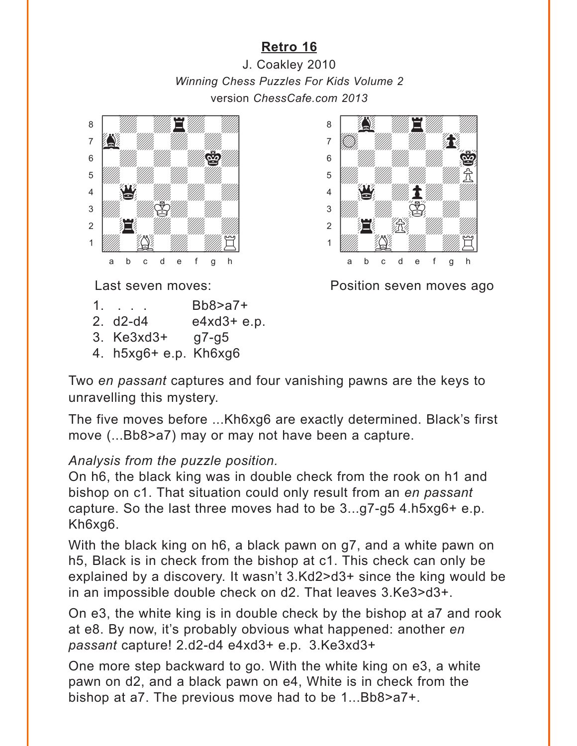## **[Retro 16](#page-4-0)**

<span id="page-12-0"></span>J. Coakley 2010 *Winning Chess Puzzles For Kids Volume 2* version *ChessCafe.com 2013*  $v$  and  $v$  and  $v$  and  $v$  and  $v$  and  $v$  and  $v$  and  $v$  and  $v$  and  $v$  and  $v$  and  $v$  and  $v$  and  $v$  and  $v$  and  $v$  and  $v$  and  $v$  and  $v$  and  $v$  and  $v$  and  $v$  and  $v$  and  $v$  and  $v$  and  $v$  and  $v$  and  $v$  a where  $\frac{1}{2000}$ 

![](_page_12_Picture_2.jpeg)

 $\delta$  and  $\delta$  and  $\delta$  and  $\delta$  and  $\delta$  $\overline{\mathbf{a}}$  and  $\overline{\mathbf{a}}$  and  $\overline{\mathbf{a}}$  $\delta$  with  $\frac{1}{2}$  $\frac{1}{2}$  $\frac{4}{3}$   $\frac{1}{3}$   $\frac{1}{3}$   $\frac{1}{3}$   $\frac{1}{3}$   $\frac{1}{3}$   $\frac{1}{3}$  $\frac{1}{\sqrt{2}}$  $\frac{1}{2}$   $\frac{1}{2}$ 1 Waa Gudden Waa Gudden (1917) a b c d e f g h

- 1. . . . Bb8>a7+
- 2. d2-d4 e4xd3+ e.p.
- 3. Ke3xd3+ g7-g5
- 4. h5xg6+ e.p. Kh6xg6

Last seven moves: Position seven moves ago

Two *en passant* captures and four vanishing pawns are the keys to unravelling this mystery.

The five moves before ...Kh6xg6 are exactly determined. Black's first move (...Bb8>a7) may or may not have been a capture.

#### *Analysis from the puzzle position.*

On h6, the black king was in double check from the rook on h1 and bishop on c1. That situation could only result from an *en passant* capture. So the last three moves had to be 3...g7-g5 4.h5xg6+ e.p. Kh6xg6.

With the black king on h6, a black pawn on g7, and a white pawn on h5, Black is in check from the bishop at c1. This check can only be explained by a discovery. It wasn't 3.Kd2>d3+ since the king would be in an impossible double check on d2. That leaves 3.Ke3>d3+.

On e3, the white king is in double check by the bishop at a7 and rook at e8. By now, it's probably obvious what happened: another *en passant* capture! 2.d2-d4 e4xd3+ e.p. 3.Ke3xd3+

One more step backward to go. With the white king on e3, a white pawn on d2, and a black pawn on e4, White is in check from the bishop at a7. The previous move had to be 1...Bb8>a7+.